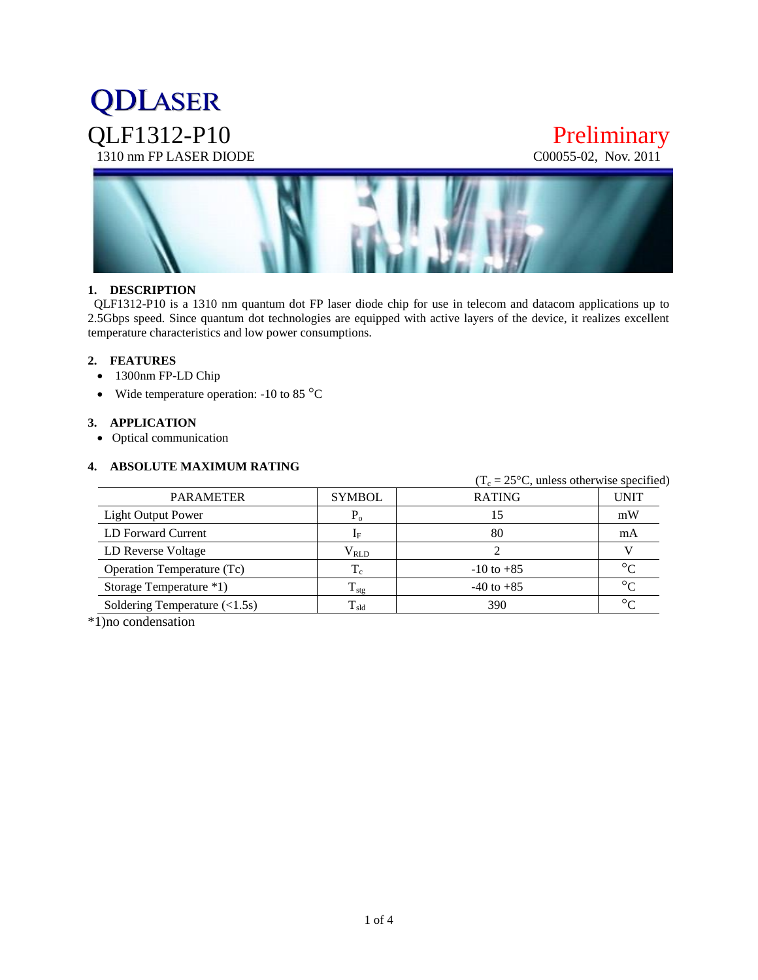# **QDLASER** QLF1312-P10 Preliminary<br>1310 nm FP LASER DIODE COOO55-02, Nov. 2011 1310 nm FP LASER DIODE



#### **1. DESCRIPTION**

 QLF1312-P10 is a 1310 nm quantum dot FP laser diode chip for use in telecom and datacom applications up to 2.5Gbps speed. Since quantum dot technologies are equipped with active layers of the device, it realizes excellent temperature characteristics and low power consumptions.

#### **2. FEATURES**

- 1300nm FP-LD Chip
- Wide temperature operation:  $-10$  to 85  $^{\circ}$ C

#### **3. APPLICATION**

Optical communication

#### **4. ABSOLUTE MAXIMUM RATING**

|                                                |                   | $(T_c = 25^{\circ}C$ , unless otherwise specified) |             |
|------------------------------------------------|-------------------|----------------------------------------------------|-------------|
| <b>PARAMETER</b>                               | <b>SYMBOL</b>     | <b>RATING</b>                                      | <b>UNIT</b> |
| Light Output Power                             | $P_{\alpha}$      | 15                                                 | mW          |
| LD Forward Current                             | $1_{\rm F}$       | 80                                                 | mA          |
| LD Reverse Voltage                             | $\rm V_{RLD}$     |                                                    |             |
| Operation Temperature (Tc)                     |                   | $-10$ to $+85$                                     | $\circ$     |
| Storage Temperature *1)                        | $T_{\rm stg}$     | $-40$ to $+85$                                     | $\circ$     |
| Soldering Temperature $(\langle 1.5s \rangle)$ | $\rm T_{\rm sld}$ | 390                                                | $\circ$     |

\*1)no condensation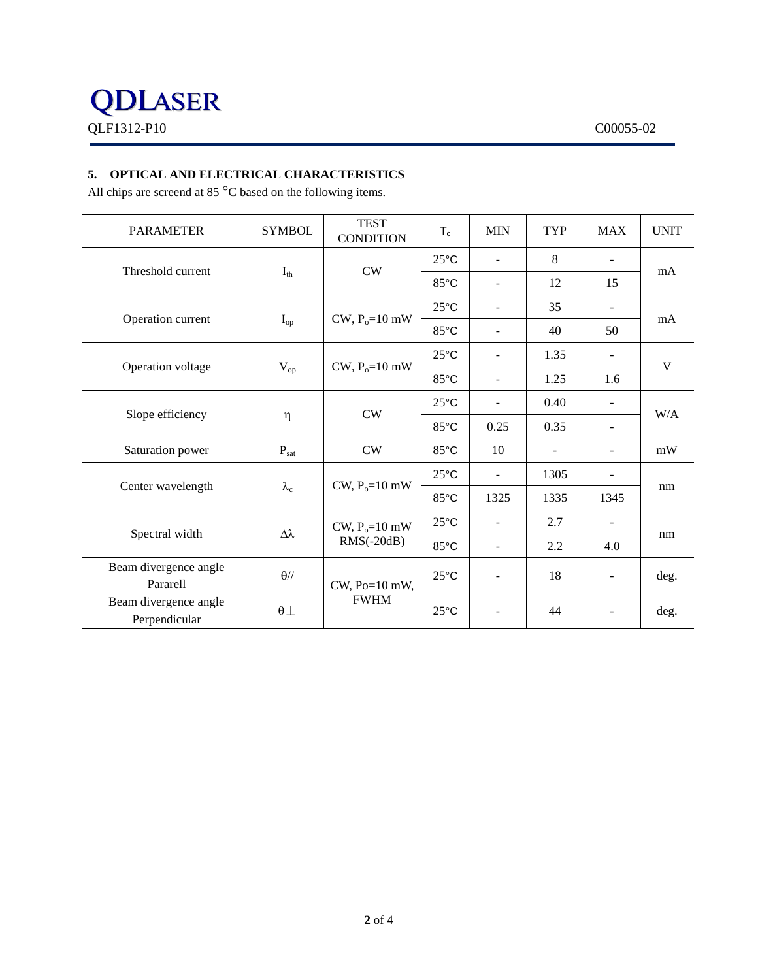### **5. OPTICAL AND ELECTRICAL CHARACTERISTICS**

All chips are screend at 85  $^{\circ}$ C based on the following items.

| <b>PARAMETER</b>                       | <b>SYMBOL</b>     | <b>TEST</b><br><b>CONDITION</b>   | $T_c$          | <b>MIN</b>               | TYP  | <b>MAX</b>               | <b>UNIT</b> |
|----------------------------------------|-------------------|-----------------------------------|----------------|--------------------------|------|--------------------------|-------------|
| Threshold current                      | $I_{th}$          | <b>CW</b>                         | $25^{\circ}$ C | $\blacksquare$           | 8    | $\overline{\phantom{a}}$ | mA          |
|                                        |                   |                                   | 85°C           | $\blacksquare$           | 12   | 15                       |             |
| Operation current                      | $I_{op}$          | $CW, P_0 = 10$ mW                 | $25^{\circ}$ C | $\sim$                   | 35   | $\overline{\phantom{a}}$ | mA          |
|                                        |                   |                                   | 85°C           | $\sim$                   | 40   | 50                       |             |
| Operation voltage                      | $V_{op}$          | $CW$ , $P_0=10$ mW                | $25^{\circ}$ C | ÷                        | 1.35 | $\overline{a}$           | V           |
|                                        |                   |                                   | 85°C           | $\blacksquare$           | 1.25 | 1.6                      |             |
| Slope efficiency                       | η                 | <b>CW</b>                         | $25^{\circ}$ C | $\blacksquare$           | 0.40 | $\blacksquare$           | W/A         |
|                                        |                   |                                   | 85°C           | 0.25                     | 0.35 | $\blacksquare$           |             |
| Saturation power                       | $P_{\text{sat}}$  | <b>CW</b>                         | 85°C           | 10                       |      | $\overline{\phantom{a}}$ | mW          |
| Center wavelength                      | $\lambda_{\rm c}$ | CW, $P_0 = 10$ mW                 | $25^{\circ}$ C | $\blacksquare$           | 1305 |                          | nm          |
|                                        |                   |                                   | 85°C           | 1325                     | 1335 | 1345                     |             |
| Spectral width                         | $\Delta\lambda$   | CW, $P_0 = 10$ mW<br>$RMS(-20dB)$ | $25^{\circ}$ C | $\overline{\phantom{a}}$ | 2.7  | $\overline{\phantom{a}}$ | nm          |
|                                        |                   |                                   | 85°C           | $\blacksquare$           | 2.2  | 4.0                      |             |
| Beam divergence angle<br>Pararell      | $\theta$ //       | CW, Po=10 mW,<br><b>FWHM</b>      | $25^{\circ}$ C | $\overline{\phantom{a}}$ | 18   | $\overline{\phantom{a}}$ | deg.        |
| Beam divergence angle<br>Perpendicular | $\theta$ $\perp$  |                                   | $25^{\circ}$ C | $\overline{\phantom{0}}$ | 44   |                          | deg.        |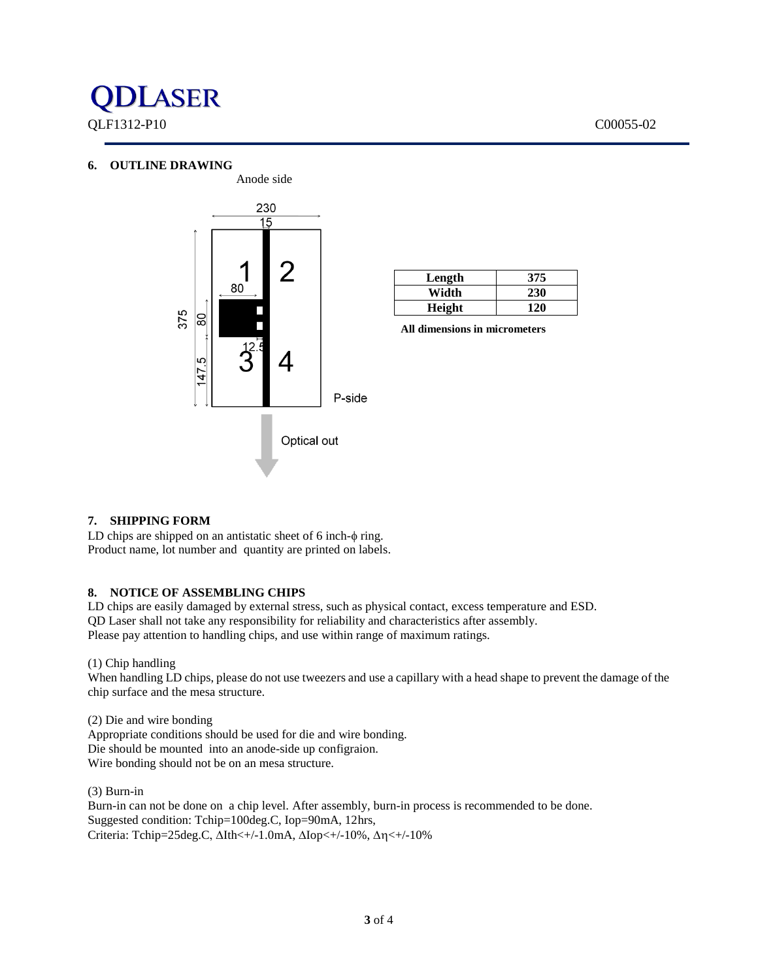#### **6. OUTLINE DRAWING**



| Length | 375 |  |  |  |
|--------|-----|--|--|--|
| Width  | 230 |  |  |  |
| Height | 120 |  |  |  |

**All dimensions in micrometers**

#### **7. SHIPPING FORM**

LD chips are shipped on an antistatic sheet of  $6$  inch- $\phi$  ring. Product name, lot number and quantity are printed on labels.

#### **8. NOTICE OF ASSEMBLING CHIPS**

LD chips are easily damaged by external stress, such as physical contact, excess temperature and ESD. QD Laser shall not take any responsibility for reliability and characteristics after assembly. Please pay attention to handling chips, and use within range of maximum ratings.

(1) Chip handling

When handling LD chips, please do not use tweezers and use a capillary with a head shape to prevent the damage of the chip surface and the mesa structure.

(2) Die and wire bonding Appropriate conditions should be used for die and wire bonding. Die should be mounted into an anode-side up configraion. Wire bonding should not be on an mesa structure.

(3) Burn-in Burn-in can not be done on a chip level. After assembly, burn-in process is recommended to be done. Suggested condition: Tchip=100deg.C, Iop=90mA, 12hrs, Criteria: Tchip=25deg.C,  $\Delta$ Ith<+/-1.0mA,  $\Delta$ Iop<+/-10%,  $\Delta$ n<+/-10%